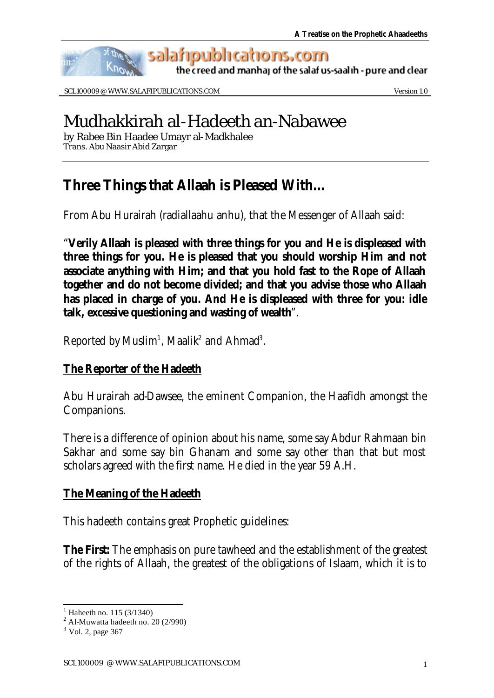

SCL100009 @ WWW.SALAFIPUBLICATIONS.COM Version 1.0

# Mudhakkirah al-Hadeeth an-Nabawee

by Rabee Bin Haadee Umayr al-Madkhalee Trans. Abu Naasir Abid Zargar

# **Three Things that Allaah is Pleased With…**

From Abu Hurairah (radiallaahu anhu), that the Messenger of Allaah said:

"**Verily Allaah is pleased with three things for you and He is displeased with three things for you. He is pleased that you should worship Him and not associate anything with Him; and that you hold fast to the Rope of Allaah together and do not become divided; and that you advise those who Allaah has placed in charge of you. And He is displeased with three for you: idle talk, excessive questioning and wasting of wealth**".

Reported by Muslim<sup>1</sup>, Maalik<sup>2</sup> and Ahmad<sup>3</sup>.

### **The Reporter of the Hadeeth**

Abu Hurairah ad-Dawsee, the eminent Companion, the Haafidh amongst the Companions.

There is a difference of opinion about his name, some say Abdur Rahmaan bin Sakhar and some say bin Ghanam and some say other than that but most scholars agreed with the first name. He died in the year 59 A.H.

# **The Meaning of the Hadeeth**

This hadeeth contains great Prophetic guidelines:

**The First:** The emphasis on pure tawheed and the establishment of the greatest of the rights of Allaah, the greatest of the obligations of Islaam, which it is to

l

<sup>1</sup> Haheeth no. 115 (3/1340)

 $2$  Al-Muwatta hadeeth no. 20 (2/990)

<sup>&</sup>lt;sup>3</sup> Vol. 2, page 367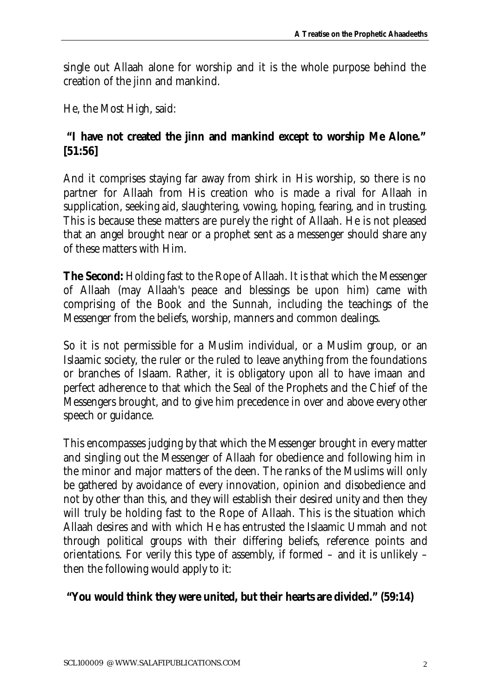single out Allaah alone for worship and it is the whole purpose behind the creation of the jinn and mankind.

He, the Most High, said:

# **"I have not created the jinn and mankind except to worship Me Alone." [51:56]**

And it comprises staying far away from shirk in His worship, so there is no partner for Allaah from His creation who is made a rival for Allaah in supplication, seeking aid, slaughtering, vowing, hoping, fearing, and in trusting. This is because these matters are purely the right of Allaah. He is not pleased that an angel brought near or a prophet sent as a messenger should share any of these matters with Him.

**The Second:** Holding fast to the Rope of Allaah. It is that which the Messenger of Allaah (may Allaah's peace and blessings be upon him) came with comprising of the Book and the Sunnah, including the teachings of the Messenger from the beliefs, worship, manners and common dealings.

So it is not permissible for a Muslim individual, or a Muslim group, or an Islaamic society, the ruler or the ruled to leave anything from the foundations or branches of Islaam. Rather, it is obligatory upon all to have imaan and perfect adherence to that which the Seal of the Prophets and the Chief of the Messengers brought, and to give him precedence in over and above every other speech or guidance.

This encompasses judging by that which the Messenger brought in every matter and singling out the Messenger of Allaah for obedience and following him in the minor and major matters of the deen. The ranks of the Muslims will only be gathered by avoidance of every innovation, opinion and disobedience and not by other than this, and they will establish their desired unity and then they will truly be holding fast to the Rope of Allaah. This is the situation which Allaah desires and with which He has entrusted the Islaamic Ummah and not through political groups with their differing beliefs, reference points and orientations. For verily this type of assembly, if formed – and it is unlikely – then the following would apply to it:

### **"You would think they were united, but their hearts are divided." (59:14)**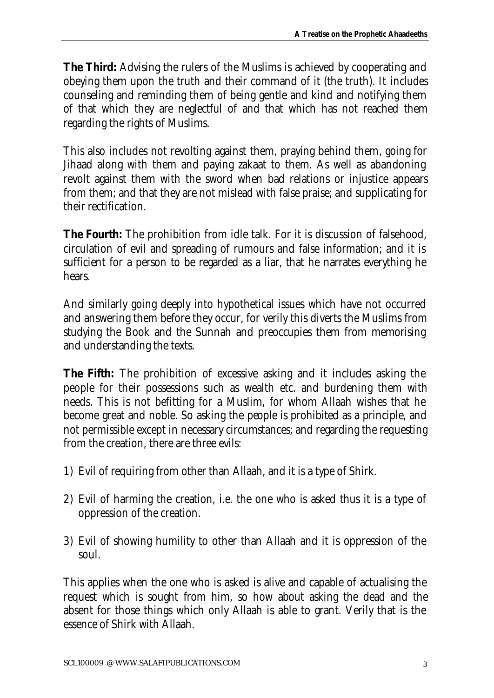**The Third:** Advising the rulers of the Muslims is achieved by cooperating and obeying them upon the truth and their command of it (the truth). It includes counseling and reminding them of being gentle and kind and notifying them of that which they are neglectful of and that which has not reached them regarding the rights of Muslims.

This also includes not revolting against them, praying behind them, going for Jihaad along with them and paying zakaat to them. As well as abandoning revolt against them with the sword when bad relations or injustice appears from them; and that they are not mislead with false praise; and supplicating for their rectification.

**The Fourth:** The prohibition from idle talk. For it is discussion of falsehood, circulation of evil and spreading of rumours and false information; and it is sufficient for a person to be regarded as a liar, that he narrates everything he hears.

And similarly going deeply into hypothetical issues which have not occurred and answering them before they occur, for verily this diverts the Muslims from studying the Book and the Sunnah and preoccupies them from memorising and understanding the texts.

**The Fifth:** The prohibition of excessive asking and it includes asking the people for their possessions such as wealth etc. and burdening them with needs. This is not befitting for a Muslim, for whom Allaah wishes that he become great and noble. So asking the people is prohibited as a principle, and not permissible except in necessary circumstances; and regarding the requesting from the creation, there are three evils:

- 1) Evil of requiring from other than Allaah, and it is a type of Shirk.
- 2) Evil of harming the creation, i.e. the one who is asked thus it is a type of oppression of the creation.
- 3) Evil of showing humility to other than Allaah and it is oppression of the soul.

This applies when the one who is asked is alive and capable of actualising the request which is sought from him, so how about asking the dead and the absent for those things which only Allaah is able to grant. Verily that is the essence of Shirk with Allaah.